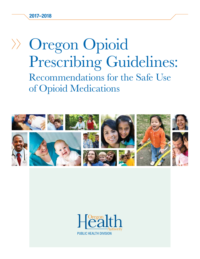2017–2018

# Oregon Opioid Prescribing Guidelines: Recommendations for the Safe Use of Opioid Medications



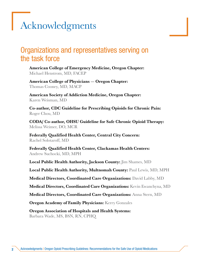## <span id="page-1-0"></span>Acknowledgments

#### Organizations and representatives serving on the task force

American College of Emergency Medicine, Oregon Chapter: Michael Henstrom, MD, FACEP

American College of Physicians — Oregon Chapter: Thomas Cooney, MD, MACP

American Society of Addiction Medicine, Oregon Chapter: Karen Weisman, MD

Co-author, CDC Guideline for Prescribing Opioids for Chronic Pain: Roger Chou, MD

CODA/ Co-author, OHSU Guideline for Safe Chronic Opioid Therapy: Melissa Weimer, DO, MCR

Federally Qualified Health Center, Central City Concern: Rachel Solotaroff, MD

Federally Qualified Health Center, Clackamas Health Centers: Andrew Suchocki, MD, MPH

Local Public Health Authority, Jackson County: Jim Shames, MD

Local Public Health Authority, Multnomah County: Paul Lewis, MD, MPH

Medical Directors, Coordinated Care Organizations: David Labby, MD

Medical Directors, Coordinated Care Organizations: Kevin Ewanchyna, MD

**Medical Directors, Coordinated Care Organizations:** Anna Stern, MD

**Oregon Academy of Family Physicians:** Kerry Gonzales

Oregon Association of Hospitals and Health Systems: Barbara Wade, MS, BSN, RN, CPHQ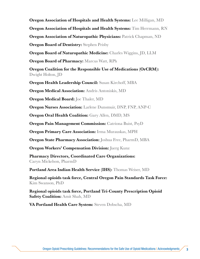<span id="page-2-0"></span>Oregon Association of Hospitals and Health Systems: Lee Milligan, MD **Oregon Association of Hospitals and Health Systems:** Tim Herrmann, RN **Oregon Association of Naturopathic Physicians:** Patrick Chapman, ND

**Oregon Board of Dentistry:** Stephen Prisby

**Oregon Board of Naturopathic Medicine:** Charles Wiggins, JD, LLM

**Oregon Board of Pharmacy: Marcus Watt, RPh** 

Oregon Coalition for the Responsible Use of Medications (OrCRM): Dwight Holton, JD

**Oregon Health Leadership Council:** Susan Kirchoff, MBA

**Oregon Medical Association:** Andris Antoniskis, MD

**Oregon Medical Board:** Joe Thaler, MD

**Oregon Nurses Association:** Larlene Dunsmuir, DNP, FNP, ANP-C

**Oregon Oral Health Coalition:** Gary Allen, DMD, MS

**Oregon Pain Management Commission:** Catriona Buist, PsyD

**Oregon Primary Care Association:** Irma Murauskas, MPH

**Oregon State Pharmacy Association:** Joshua Free, PharmD, MBA

**Oregon Workers' Compensation Division:** Juerg Kunz

Pharmacy Directors, Coordinated Care Organizations: Caryn Mickelson, PharmD

Portland Area Indian Health Service (IHS): Thomas Weiser, MD

Regional opioids task force, Central Oregon Pain Standards Task Force: Kim Swanson, PhD

Regional opioids task force, Portland Tri-County Prescription Opioid **Safety Coalition:** Amit Shah, MD

VA Portland Health Care System: Steven Dobscha, MD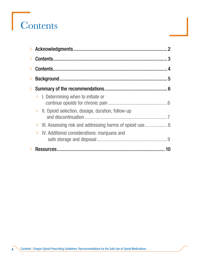# **Contents**

| $\left\langle \right\rangle$ |                                                             |  |
|------------------------------|-------------------------------------------------------------|--|
|                              |                                                             |  |
|                              | $\gg$ I. Determining when to initiate or                    |  |
|                              | $\gg$ II. Opioid selection, dosage, duration, follow-up     |  |
|                              | >> III. Assessing risk and addressing harms of opioid use 8 |  |
|                              | $\gg$ IV. Additional considerations: marijuana and          |  |
|                              |                                                             |  |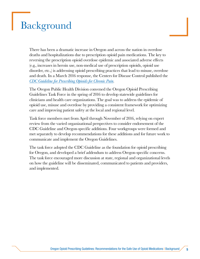## <span id="page-4-0"></span>Background

There has been a dramatic increase in Oregon and across the nation in overdose deaths and hospitalizations due to prescription opioid pain medications. The key to reversing the prescription opioid overdose epidemic and associated adverse effects (e.g., increases in heroin use, non-medical use of prescription opioids, opioid use disorder, etc.,) is addressing opioid prescribing practices that lead to misuse, overdose and death. In a March 2016 response, the Centers for Disease Control published the *[CDC Guideline for Prescribing Opioids for Chronic Pain](http://www.cdc.gov/mmwr/volumes/65/rr/rr6501e1.htm).*

The Oregon Public Health Division convened the Oregon Opioid Prescribing Guidelines Task Force in the spring of 2016 to develop statewide guidelines for clinicians and health care organizations. The goal was to address the epidemic of opioid use, misuse and overdose by providing a consistent framework for optimizing care and improving patient safety at the local and regional level.

Task force members met from April through November of 2016, relying on expert review from the varied organizational perspectives to consider endorsement of the CDC Guideline and Oregon-specific additions. Four workgroups were formed and met separately to develop recommendations for these additions and for future work to communicate and implement the Oregon Guidelines.

The task force adopted the CDC Guideline as the foundation for opioid prescribing for Oregon, and developed a brief addendum to address Oregon-specific concerns. The task force encouraged more discussion at state, regional and organizational levels on how the guideline will be disseminated, communicated to patients and providers, and implemented.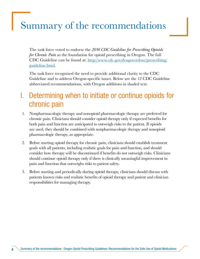## <span id="page-5-0"></span>Summary of the recommendations

The task force voted to endorse the *2016 CDC Guideline for Prescribing Opioids for Chronic Pain* as the foundation for opioid prescribing in Oregon. The full CDC Guideline can be found at: [http://www.cdc.gov/drugoverdose/prescribing/](http://www.cdc.gov/drugoverdose/prescribing/guideline.html) [guideline.html.](http://www.cdc.gov/drugoverdose/prescribing/guideline.html)

The task force recognized the need to provide additional clarity to the CDC Guideline and to address Oregon-specific issues. Below are the 12 CDC Guideline abbreviated recommendations, with Oregon additions in shaded text.

#### I. Determining when to initiate or continue opioids for chronic pain

- 1. Nonpharmacologic therapy and nonopioid pharmacologic therapy are preferred for chronic pain. Clinicians should consider opioid therapy only if expected benefits for both pain and function are anticipated to outweigh risks to the patient. If opioids are used, they should be combined with nonpharmacologic therapy and nonopioid pharmacologic therapy, as appropriate.
- 2. Before starting opioid therapy for chronic pain, clinicians should establish treatment goals with all patients, including realistic goals for pain and function, and should consider how therapy will be discontinued if benefits do not outweigh risks. Clinicians should continue opioid therapy only if there is clinically meaningful improvement in pain and function that outweighs risks to patient safety.
- 3. Before starting and periodically during opioid therapy, clinicians should discuss with patients known risks and realistic benefits of opioid therapy and patient and clinician responsibilities for managing therapy.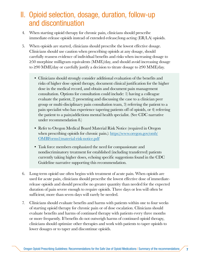## <span id="page-6-0"></span>II. Opioid selection, dosage, duration, follow-up and discontinuation

- 4. When starting opioid therapy for chronic pain, clinicians should prescribe immediate-release opioids instead of extended-release/long-acting (ER/LA) opioids.
- 5. When opioids are started, clinicians should prescribe the lowest effective dosage. Clinicians should use caution when prescribing opioids at any dosage, should carefully reassess evidence of individual benefits and risks when increasing dosage to ≥50 morphine milligram equivalents (MME)/day, and should avoid increasing dosage to ≥90 MME/day or carefully justify a decision to titrate dosage to ≥90 MME/day.
	- Clinicians should strongly consider additional evaluation of the benefits and risks of higher dose opioid therapy, document clinical justification for the higher dose in the medical record, and obtain and document pain management consultation. Options for consultation could include: 1) having a colleague evaluate the patient, 2) presenting and discussing the case to a clinician peer group or multi-disciplinary pain consultation team, 3) referring the patient to a pain specialist who has experience tapering patients off of opioids, or 4) referring the patient to a pain/addictions mental health specialist. (See CDC narrative under recommendation 8.)
	- Refer to Oregon Medical Board Material Risk Notice (required in Oregon when prescribing opioids for chronic pain.): [https://www.oregon.gov/omb/](https://www.oregon.gov/omb/OMBForms1/material-risk-notice.pdf) [OMBForms1/material-risk-notice.pdf](https://www.oregon.gov/omb/OMBForms1/material-risk-notice.pdf)
	- Task force members emphasized the need for compassionate and nondiscriminatory treatment for established (including transferred) patients currently taking higher doses, echoing specific suggestions found in the CDC Guideline narrative supporting this recommendation.
- 6. Long-term opioid use often begins with treatment of acute pain. When opioids are used for acute pain, clinicians should prescribe the lowest effective dose of immediaterelease opioids and should prescribe no greater quantity than needed for the expected duration of pain severe enough to require opioids. Three days or less will often be sufficient; more than seven days will rarely be needed.
- 7. Clinicians should evaluate benefits and harms with patients within one to four weeks of starting opioid therapy for chronic pain or of dose escalation. Clinicians should evaluate benefits and harms of continued therapy with patients every three months or more frequently. If benefits do not outweigh harms of continued opioid therapy, clinicians should optimize other therapies and work with patients to taper opioids to lower dosages or to taper and discontinue opioids.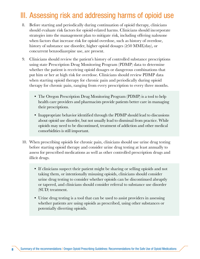## <span id="page-7-0"></span>III. Assessing risk and addressing harms of opioid use

- 8. Before starting and periodically during continuation of opioid therapy, clinicians should evaluate risk factors for opioid-related harms. Clinicians should incorporate strategies into the management plan to mitigate risk, including offering naloxone when factors that increase risk for opioid overdose, such as history of overdose, history of substance use disorder, higher opioid dosages (≥50 MME/day), or concurrent benzodiazepine use, are present.
- 9. Clinicians should review the patient's history of controlled substance prescriptions using state Prescription Drug Monitoring Program (PDMP) data to determine whether the patient is receiving opioid dosages or dangerous combinations that put him or her at high risk for overdose. Clinicians should review PDMP data when starting opioid therapy for chronic pain and periodically during opioid therapy for chronic pain, ranging from every prescription to every three months.
	- The Oregon Prescription Drug Monitoring Program (PDMP) is a tool to help health care providers and pharmacists provide patients better care in managing their prescriptions.
	- Inappropriate behavior identified through the PDMP should lead to discussions about opioid use disorder, but not usually lead to dismissal from practice. While opioids may need to be discontinued, treatment of addiction and other medical comorbidities is still important.
- 10. When prescribing opioids for chronic pain, clinicians should use urine drug testing before starting opioid therapy and consider urine drug testing at least annually to assess for prescribed medications as well as other controlled prescription drugs and illicit drugs.
	- If clinicians suspect their patient might be sharing or selling opioids and not taking them, or intentionally misusing opioids, clinicians should consider urine drug testing to consider whether opioids can be discontinued abruptly or tapered, and clinicians should consider referral to substance use disorder (SUD) treatment.
	- Urine drug testing is a tool that can be used to assist providers in assessing whether patients are using opioids as prescribed, using other substances or potentially diverting opioids.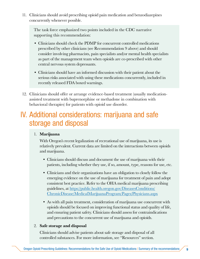<span id="page-8-0"></span>11. Clinicians should avoid prescribing opioid pain medication and benzodiazepines concurrently whenever possible.

The task force emphasized two points included in the CDC narrative supporting this recommendation:

- Clinicians should check the PDMP for concurrent controlled medications prescribed by other clinicians (see Recommendation 9 above) and should consider involving pharmacists, pain specialists and/or mental health specialists as part of the management team when opioids are co-prescribed with other central nervous system depressants.
- Clinicians should have an informed discussion with their patient about the serious risks associated with using these medications concurrently, included in recently released FDA boxed warnings.
- 12. Clinicians should offer or arrange evidence-based treatment (usually medicationassisted treatment with buprenorphine or methadone in combination with behavioral therapies) for patients with opioid use disorder.

#### IV. Additional considerations: marijuana and safe storage and disposal

#### 1. Marijuana

With Oregon's recent legalization of recreational use of marijuana, its use is relatively prevalent. Current data are limited on the interactions between opioids and marijuana.

- Clinicians should discuss and document the use of marijuana with their patients, including whether they use, if so, amount, type, reasons for use, etc.
- Clinicians and their organizations have an obligation to closely follow the emerging evidence on the use of marijuana for treatment of pain and adopt consistent best practice. Refer to the OHA medical marijuana prescribing guidelines, at [https://public.health.oregon.gov/DiseasesConditions/](https://public.health.oregon.gov/DiseasesConditions/ChronicDisease/MedicalMarijuanaProgram/Pages/Physicians.aspx) [ChronicDisease/MedicalMarijuanaProgram/Pages/Physicians.aspx](https://public.health.oregon.gov/DiseasesConditions/ChronicDisease/MedicalMarijuanaProgram/Pages/Physicians.aspx)
- As with all pain treatment, consideration of marijuana use concurrent with opioids should be focused on improving functional status and quality of life, and ensuring patient safety. Clinicians should assess for contraindications and precautions to the concurrent use of marijuana and opioids.

#### 2. Safe storage and disposal

Clinicians should advise patients about safe storage and disposal of all controlled substances. For more information, see "Resources" section.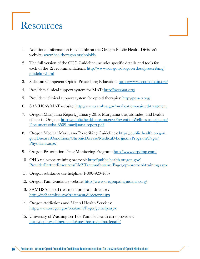## <span id="page-9-0"></span>**Resources**

- 1. Additional information is available on the Oregon Public Health Division's website: [www.healthoregon.org/opioids](http://www.healthoregon.org/opioids)
- 2. The full version of the CDC Guideline includes specific details and tools for each of the 12 recommendations: [http://www.cdc.gov/drugoverdose/prescribing/](http://www.cdc.gov/drugoverdose/prescribing/guideline.html) [guideline.html](http://www.cdc.gov/drugoverdose/prescribing/guideline.html)
- 3. Safe and Competent Opioid Prescribing Education:<https://www.scopeofpain.org/>
- 4. Providers clinical support system for MAT:<http://pcssmat.org/>
- 5. Providers' clinical support system for opioid therapies:<http://pcss-o.org/>
- 6. SAMHSA's MAT website: <http://www.samhsa.gov/medication-assisted-treatment>
- 7. Oregon Marijuana Report, January 2016: Marijuana use, attitudes, and health effects in Oregon: [https://public.health.oregon.gov/PreventionWellness/marijuana/](https://public.health.oregon.gov/PreventionWellness/marijuana/Documents/oha-8509-marijuana-report.pdf) [Documents/oha-8509-marijuana-report.pdf](https://public.health.oregon.gov/PreventionWellness/marijuana/Documents/oha-8509-marijuana-report.pdf)
- 8. Oregon Medical Marijuana Prescribing Guidelines: [https://public.health.oregon.](https://public.health.oregon.gov/DiseasesConditions/ChronicDisease/MedicalMarijuanaProgram/Pages/Physicians.aspx) [gov/DiseasesConditions/ChronicDisease/MedicalMarijuanaProgram/Pages/](https://public.health.oregon.gov/DiseasesConditions/ChronicDisease/MedicalMarijuanaProgram/Pages/Physicians.aspx) [Physicians.aspx](https://public.health.oregon.gov/DiseasesConditions/ChronicDisease/MedicalMarijuanaProgram/Pages/Physicians.aspx)
- 9. Oregon Prescription Drug Monitoring Program:<http://www.orpdmp.com/>
- 10. OHA naloxone training protocol: [http://public.health.oregon.gov/](http://public.health.oregon.gov/ProviderPartnerResources/EMSTraumaSystems/Pages/epi-protocol-training.aspx) [ProviderPartnerResources/EMSTraumaSystems/Pages/epi-protocol-training.aspx](http://public.health.oregon.gov/ProviderPartnerResources/EMSTraumaSystems/Pages/epi-protocol-training.aspx)
- 11. Oregon substance use helpline: 1-800-923-4357
- 12. Oregon Pain Guidance website:<http://www.oregonpainguidance.org/>
- 13. SAMHSA opioid treatment program directory: <http://dpt2.samhsa.gov/treatment/directory.aspx>
- 14. Oregon Addictions and Mental Health Services: <http://www.oregon.gov/oha/amh/Pages/gethelp.aspx>
- 15. University of Washington Tele-Pain for health care providers: <http://depts.washington.edu/anesth/care/pain/telepain/>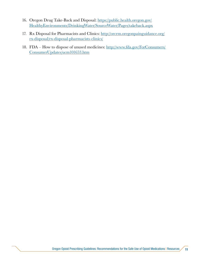- 16. Oregon Drug Take-Back and Disposal: [https://public.health.oregon.gov/](https://public.health.oregon.gov/HealthyEnvironments/DrinkingWater/SourceWater/Pages/takeback.aspx) [HealthyEnvironments/DrinkingWater/SourceWater/Pages/takeback.aspx](https://public.health.oregon.gov/HealthyEnvironments/DrinkingWater/SourceWater/Pages/takeback.aspx)
- 17. Rx Disposal for Pharmacists and Clinics: [http://orcrm.oregonpainguidance.org/](http://orcrm.oregonpainguidance.org/rx-disposal/rx-disposal-pharmacists-clinics/) [rx-disposal/rx-disposal-pharmacists-clinics/](http://orcrm.oregonpainguidance.org/rx-disposal/rx-disposal-pharmacists-clinics/)
- 18. FDA How to dispose of unused medicines: [http://www.fda.gov/ForConsumers/](http://www.fda.gov/ForConsumers/ConsumerUpdates/ucm101653.htm) [ConsumerUpdates/ucm101653.htm](http://www.fda.gov/ForConsumers/ConsumerUpdates/ucm101653.htm)